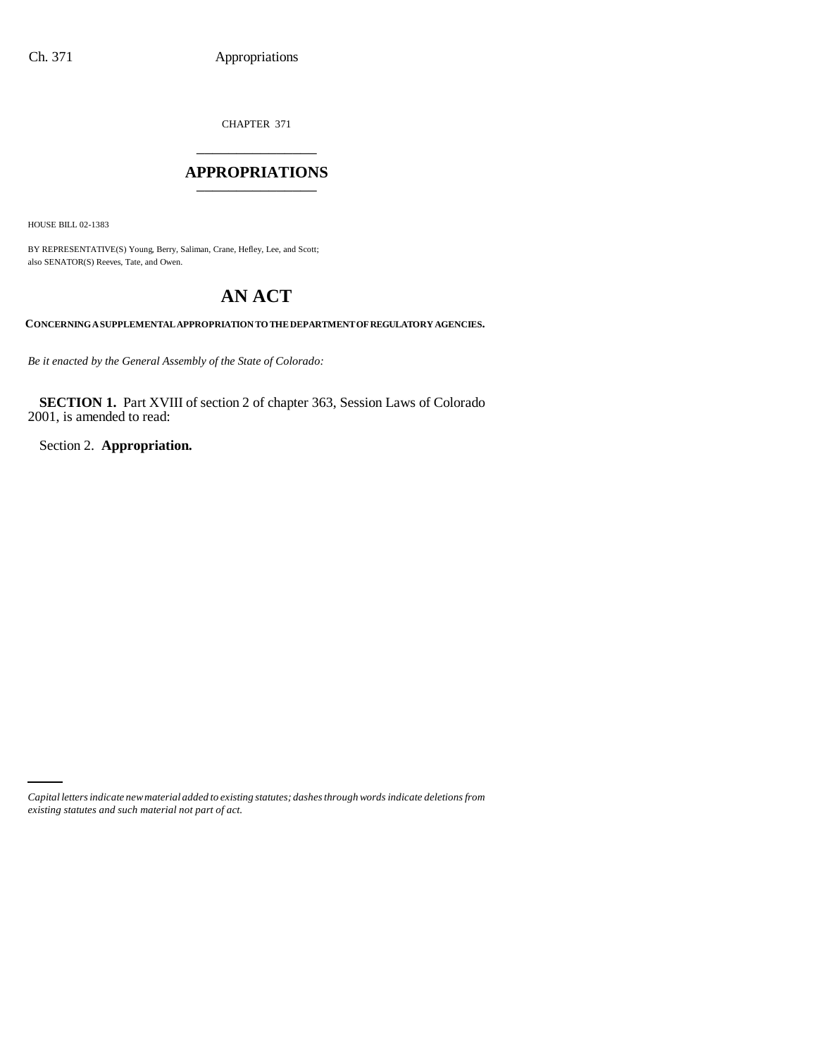CHAPTER 371 \_\_\_\_\_\_\_\_\_\_\_\_\_\_\_

## **APPROPRIATIONS** \_\_\_\_\_\_\_\_\_\_\_\_\_\_\_

HOUSE BILL 02-1383

BY REPRESENTATIVE(S) Young, Berry, Saliman, Crane, Hefley, Lee, and Scott; also SENATOR(S) Reeves, Tate, and Owen.

# **AN ACT**

**CONCERNING A SUPPLEMENTAL APPROPRIATION TO THE DEPARTMENT OF REGULATORY AGENCIES.**

*Be it enacted by the General Assembly of the State of Colorado:*

**SECTION 1.** Part XVIII of section 2 of chapter 363, Session Laws of Colorado 2001, is amended to read:

Section 2. **Appropriation.**

*Capital letters indicate new material added to existing statutes; dashes through words indicate deletions from existing statutes and such material not part of act.*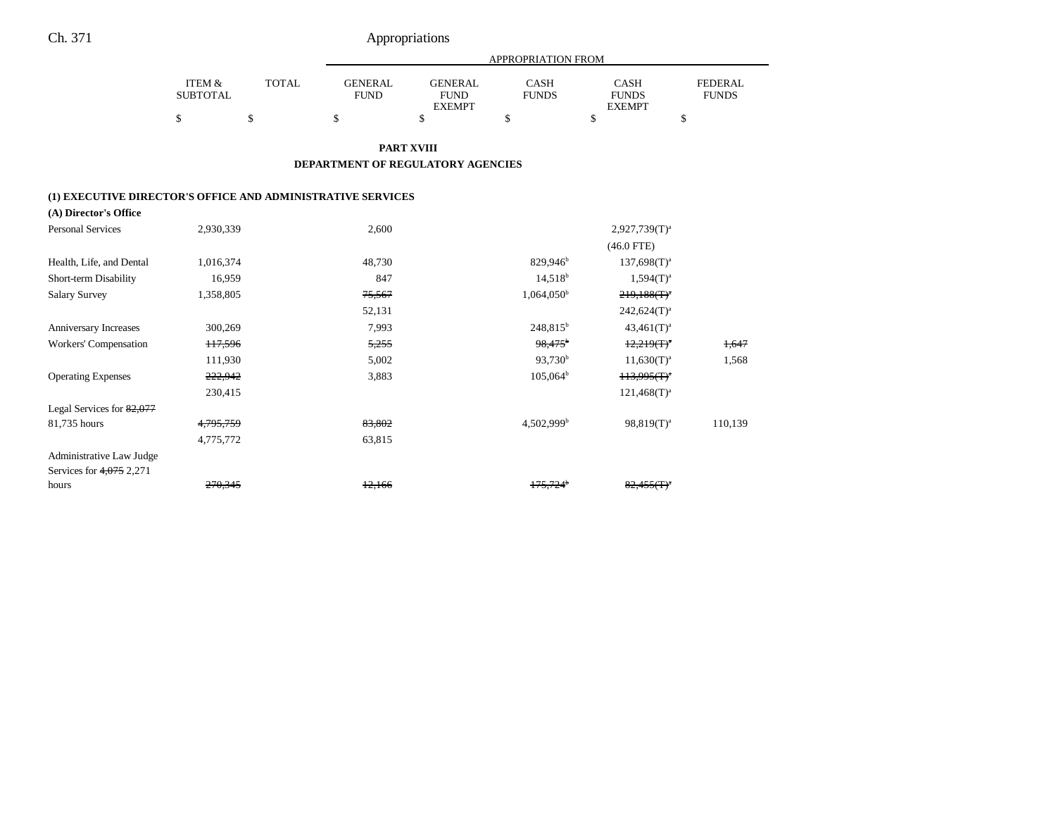|                                                             |                                      |              |                               |                                                | APPROPRIATION FROM          |                                       |                                |
|-------------------------------------------------------------|--------------------------------------|--------------|-------------------------------|------------------------------------------------|-----------------------------|---------------------------------------|--------------------------------|
|                                                             | <b>ITEM &amp;</b><br><b>SUBTOTAL</b> | <b>TOTAL</b> | <b>GENERAL</b><br><b>FUND</b> | <b>GENERAL</b><br><b>FUND</b><br><b>EXEMPT</b> | <b>CASH</b><br><b>FUNDS</b> | CASH<br><b>FUNDS</b><br><b>EXEMPT</b> | <b>FEDERAL</b><br><b>FUNDS</b> |
|                                                             | \$                                   | \$           | \$                            | \$                                             | \$                          | \$                                    | \$                             |
|                                                             |                                      |              |                               | <b>PART XVIII</b>                              |                             |                                       |                                |
|                                                             |                                      |              |                               | DEPARTMENT OF REGULATORY AGENCIES              |                             |                                       |                                |
| (1) EXECUTIVE DIRECTOR'S OFFICE AND ADMINISTRATIVE SERVICES |                                      |              |                               |                                                |                             |                                       |                                |
| (A) Director's Office                                       |                                      |              |                               |                                                |                             |                                       |                                |
| <b>Personal Services</b>                                    | 2,930,339                            |              | 2,600                         |                                                |                             | $2,927,739(T)^a$                      |                                |
|                                                             |                                      |              |                               |                                                |                             | $(46.0$ FTE)                          |                                |
| Health, Life, and Dental                                    | 1,016,374                            |              | 48,730                        |                                                | 829,946 <sup>b</sup>        | $137,698(T)^a$                        |                                |
| Short-term Disability                                       | 16,959                               |              | 847                           |                                                | $14,518^b$                  | $1,594(T)^{a}$                        |                                |
| <b>Salary Survey</b>                                        | 1,358,805                            |              | 75,567                        |                                                | $1,064,050^{\rm b}$         | $219,188$ (T) <sup>a</sup>            |                                |
|                                                             |                                      |              | 52,131                        |                                                |                             | $242,624(T)^a$                        |                                |
| Anniversary Increases                                       | 300,269                              |              | 7,993                         |                                                | 248,815 <sup>b</sup>        | $43,461(T)^a$                         |                                |
| Workers' Compensation                                       | H <sub>7,596</sub>                   |              | 5,255                         |                                                | $98,475$ <sup>b</sup>       | $12,219(T)^{a}$                       | 1,647                          |
|                                                             | 111,930                              |              | 5,002                         |                                                | $93,730^b$                  | $11,630(T)^{a}$                       | 1,568                          |
| <b>Operating Expenses</b>                                   | 222,942                              |              | 3,883                         |                                                | $105,064^b$                 | $113,995(f)^{a}$                      |                                |
|                                                             | 230,415                              |              |                               |                                                |                             | $121,468(T)^{a}$                      |                                |
| Legal Services for $82,077$                                 |                                      |              |                               |                                                |                             |                                       |                                |
| 81,735 hours                                                | 4,795,759                            |              | 83.802                        |                                                | $4,502,999$ <sup>b</sup>    | $98,819(T)^a$                         | 110,139                        |
|                                                             | 4,775,772                            |              | 63,815                        |                                                |                             |                                       |                                |
| Administrative Law Judge                                    |                                      |              |                               |                                                |                             |                                       |                                |
| Services for 4,075 2,271                                    |                                      |              |                               |                                                |                             |                                       |                                |
| hours                                                       | 270,345                              |              | 12.166                        |                                                | $175.724$ <sup>b</sup>      | $82.455(f)$ <sup>*</sup>              |                                |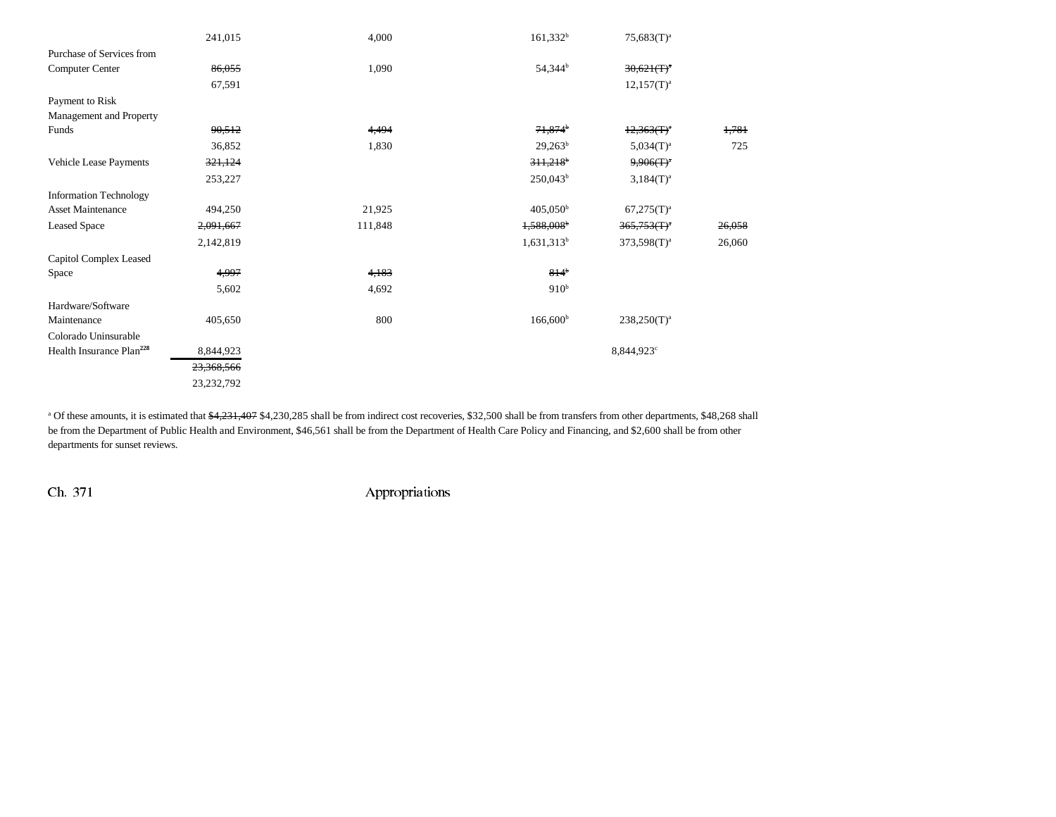|                                      | 241,015    | 4,000   | $161,332^b$              | $75,683(T)^{a}$  |        |
|--------------------------------------|------------|---------|--------------------------|------------------|--------|
| Purchase of Services from            |            |         |                          |                  |        |
| Computer Center                      | 86,055     | 1,090   | 54,344 <sup>b</sup>      | $30,621(T)^4$    |        |
|                                      | 67,591     |         |                          | $12,157(T)^{a}$  |        |
| Payment to Risk                      |            |         |                          |                  |        |
| Management and Property              |            |         |                          |                  |        |
| Funds                                | 90,512     | 4,494   | $71,874$ <sup>b</sup>    | $12,363(T)^4$    | 1,781  |
|                                      | 36,852     | 1,830   | $29,263^b$               | $5,034(T)^a$     | 725    |
| Vehicle Lease Payments               | 321,124    |         | $311,218$ <sup>b</sup>   | $9,906(T)^a$     |        |
|                                      | 253,227    |         | $250,043^b$              | $3,184(T)^{a}$   |        |
| <b>Information Technology</b>        |            |         |                          |                  |        |
| <b>Asset Maintenance</b>             | 494,250    | 21,925  | $405,050^{\rm b}$        | $67,275(T)^a$    |        |
| <b>Leased Space</b>                  | 2,091,667  | 111,848 | $1,588,008$ <sup>b</sup> | $365,753(f)^4$   | 26,058 |
|                                      | 2,142,819  |         | $1,631,313^b$            | $373,598(T)^{a}$ | 26,060 |
| Capitol Complex Leased               |            |         |                          |                  |        |
| Space                                | 4,997      | 4,183   | $814^{b}$                |                  |        |
|                                      | 5,602      | 4,692   | 910 <sup>b</sup>         |                  |        |
| Hardware/Software                    |            |         |                          |                  |        |
| Maintenance                          | 405,650    | 800     | $166,600^{\rm b}$        | $238,250(T)^a$   |        |
| Colorado Uninsurable                 |            |         |                          |                  |        |
| Health Insurance Plan <sup>228</sup> | 8,844,923  |         |                          | 8,844,923°       |        |
|                                      | 23,368,566 |         |                          |                  |        |
|                                      | 23,232,792 |         |                          |                  |        |

<sup>a</sup> Of these amounts, it is estimated that \$4,231,407 \$4,230,285 shall be from indirect cost recoveries, \$32,500 shall be from transfers from other departments, \$48,268 shall be from the Department of Public Health and Environment, \$46,561 shall be from the Department of Health Care Policy and Financing, and \$2,600 shall be from other departments for sunset reviews.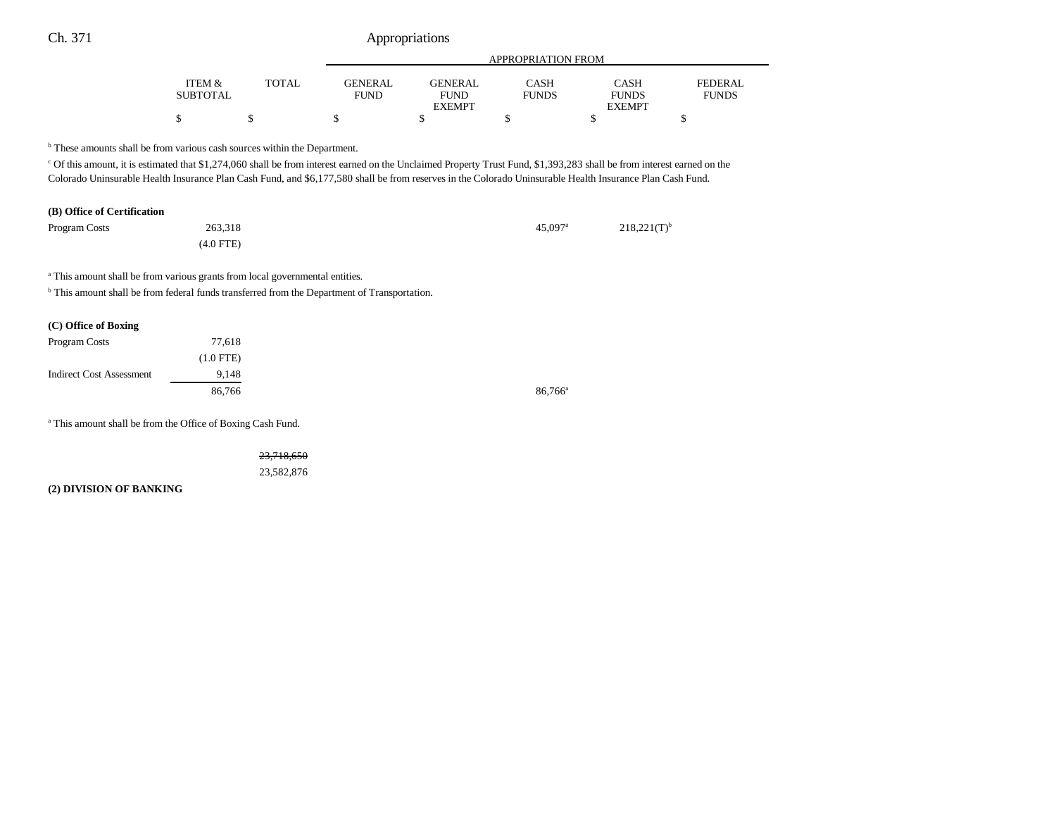| Ch. 371<br>Appropriations                                                                                                                                                                                                                                                                                                                                                                                                            |                           |              |                               |                                                |                             |                                              |                                |
|--------------------------------------------------------------------------------------------------------------------------------------------------------------------------------------------------------------------------------------------------------------------------------------------------------------------------------------------------------------------------------------------------------------------------------------|---------------------------|--------------|-------------------------------|------------------------------------------------|-----------------------------|----------------------------------------------|--------------------------------|
|                                                                                                                                                                                                                                                                                                                                                                                                                                      |                           |              | APPROPRIATION FROM            |                                                |                             |                                              |                                |
|                                                                                                                                                                                                                                                                                                                                                                                                                                      | ITEM &<br><b>SUBTOTAL</b> | <b>TOTAL</b> | <b>GENERAL</b><br><b>FUND</b> | <b>GENERAL</b><br><b>FUND</b><br><b>EXEMPT</b> | <b>CASH</b><br><b>FUNDS</b> | <b>CASH</b><br><b>FUNDS</b><br><b>EXEMPT</b> | <b>FEDERAL</b><br><b>FUNDS</b> |
|                                                                                                                                                                                                                                                                                                                                                                                                                                      | \$                        | \$           | \$                            | \$                                             | \$                          | \$                                           | \$                             |
| <sup>b</sup> These amounts shall be from various cash sources within the Department.<br>$\degree$ Of this amount, it is estimated that \$1,274,060 shall be from interest earned on the Unclaimed Property Trust Fund, \$1,393,283 shall be from interest earned on the<br>Colorado Uninsurable Health Insurance Plan Cash Fund, and \$6,177,580 shall be from reserves in the Colorado Uninsurable Health Insurance Plan Cash Fund. |                           |              |                               |                                                |                             |                                              |                                |
| (B) Office of Certification                                                                                                                                                                                                                                                                                                                                                                                                          |                           |              |                               |                                                |                             |                                              |                                |
| Program Costs                                                                                                                                                                                                                                                                                                                                                                                                                        | 263,318                   |              |                               |                                                | $45,097$ <sup>a</sup>       | $218,221(T)^{b}$                             |                                |
|                                                                                                                                                                                                                                                                                                                                                                                                                                      | $(4.0$ FTE)               |              |                               |                                                |                             |                                              |                                |
| <sup>a</sup> This amount shall be from various grants from local governmental entities.                                                                                                                                                                                                                                                                                                                                              |                           |              |                               |                                                |                             |                                              |                                |
| <sup>b</sup> This amount shall be from federal funds transferred from the Department of Transportation.                                                                                                                                                                                                                                                                                                                              |                           |              |                               |                                                |                             |                                              |                                |
| (C) Office of Boxing                                                                                                                                                                                                                                                                                                                                                                                                                 |                           |              |                               |                                                |                             |                                              |                                |
| Program Costs                                                                                                                                                                                                                                                                                                                                                                                                                        | 77,618                    |              |                               |                                                |                             |                                              |                                |
|                                                                                                                                                                                                                                                                                                                                                                                                                                      | $(1.0$ FTE)               |              |                               |                                                |                             |                                              |                                |
| <b>Indirect Cost Assessment</b>                                                                                                                                                                                                                                                                                                                                                                                                      | 9,148                     |              |                               |                                                |                             |                                              |                                |
|                                                                                                                                                                                                                                                                                                                                                                                                                                      | 86,766                    |              |                               |                                                | $86,766^{\circ}$            |                                              |                                |
|                                                                                                                                                                                                                                                                                                                                                                                                                                      |                           |              |                               |                                                |                             |                                              |                                |
| <sup>a</sup> This amount shall be from the Office of Boxing Cash Fund.                                                                                                                                                                                                                                                                                                                                                               |                           |              |                               |                                                |                             |                                              |                                |

23,718,650 23,582,876

**(2) DIVISION OF BANKING**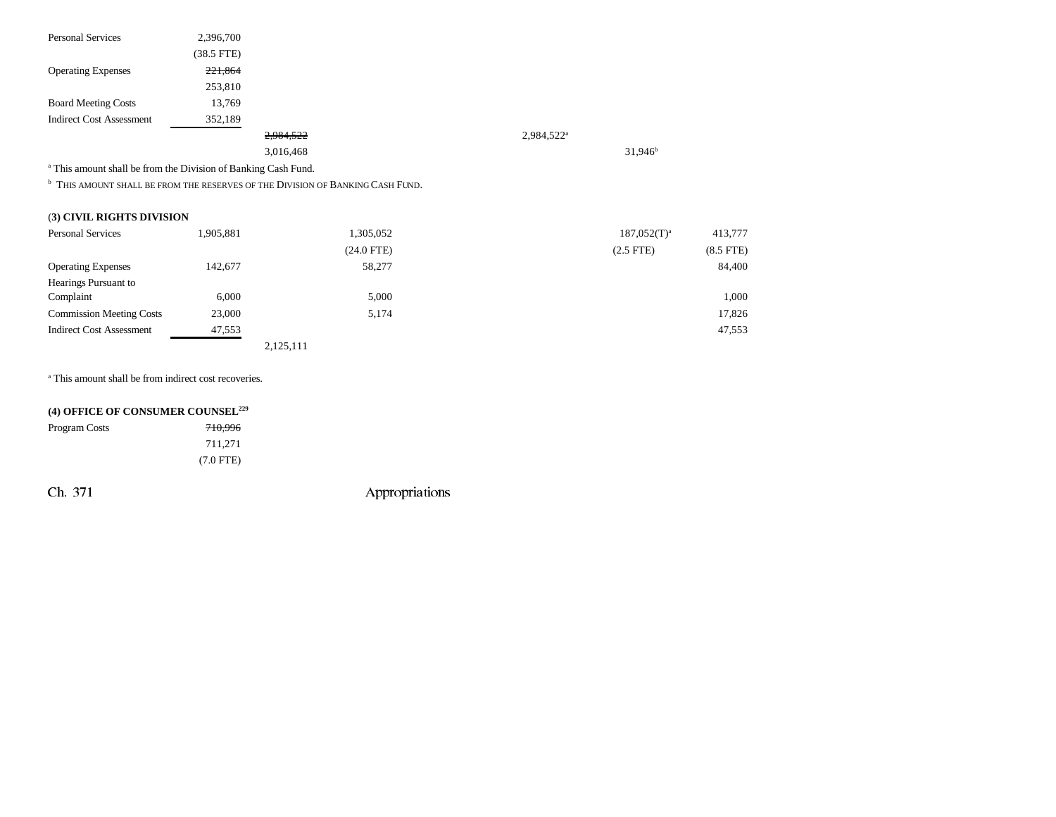| <b>Personal Services</b>                                                  | 2,396,700       |                                                                                           |                        |                  |             |
|---------------------------------------------------------------------------|-----------------|-------------------------------------------------------------------------------------------|------------------------|------------------|-------------|
|                                                                           | $(38.5$ FTE $)$ |                                                                                           |                        |                  |             |
| <b>Operating Expenses</b>                                                 | 221,864         |                                                                                           |                        |                  |             |
|                                                                           | 253,810         |                                                                                           |                        |                  |             |
| <b>Board Meeting Costs</b>                                                | 13,769          |                                                                                           |                        |                  |             |
| <b>Indirect Cost Assessment</b>                                           | 352,189         |                                                                                           |                        |                  |             |
|                                                                           |                 | 2,984,522                                                                                 | 2,984,522 <sup>a</sup> |                  |             |
|                                                                           |                 | 3,016,468                                                                                 |                        | $31,946^b$       |             |
| <sup>a</sup> This amount shall be from the Division of Banking Cash Fund. |                 |                                                                                           |                        |                  |             |
|                                                                           |                 | <sup>b</sup> THIS AMOUNT SHALL BE FROM THE RESERVES OF THE DIVISION OF BANKING CASH FUND. |                        |                  |             |
| (3) CIVIL RIGHTS DIVISION                                                 |                 |                                                                                           |                        |                  |             |
| <b>Personal Services</b>                                                  | 1,905,881       | 1,305,052                                                                                 |                        | $187,052(T)^{a}$ | 413,777     |
|                                                                           |                 | $(24.0$ FTE)                                                                              |                        | $(2.5$ FTE $)$   | $(8.5$ FTE) |
| <b>Operating Expenses</b>                                                 | 142,677         | 58,277                                                                                    |                        |                  | 84,400      |
| Hearings Pursuant to                                                      |                 |                                                                                           |                        |                  |             |
| Complaint                                                                 | 6,000           | 5,000                                                                                     |                        |                  | 1,000       |
| <b>Commission Meeting Costs</b>                                           | 23,000          | 5,174                                                                                     |                        |                  | 17,826      |
| <b>Indirect Cost Assessment</b>                                           | 47,553          |                                                                                           |                        |                  | 47,553      |
|                                                                           |                 | 2,125,111                                                                                 |                        |                  |             |

<sup>a</sup> This amount shall be from indirect cost recoveries.

| (4) OFFICE OF CONSUMER COUNSEL <sup>229</sup> |                    |  |  |  |
|-----------------------------------------------|--------------------|--|--|--|
| <b>Program Costs</b>                          | <del>710.996</del> |  |  |  |
|                                               | 711.271            |  |  |  |
|                                               | $(7.0$ FTE)        |  |  |  |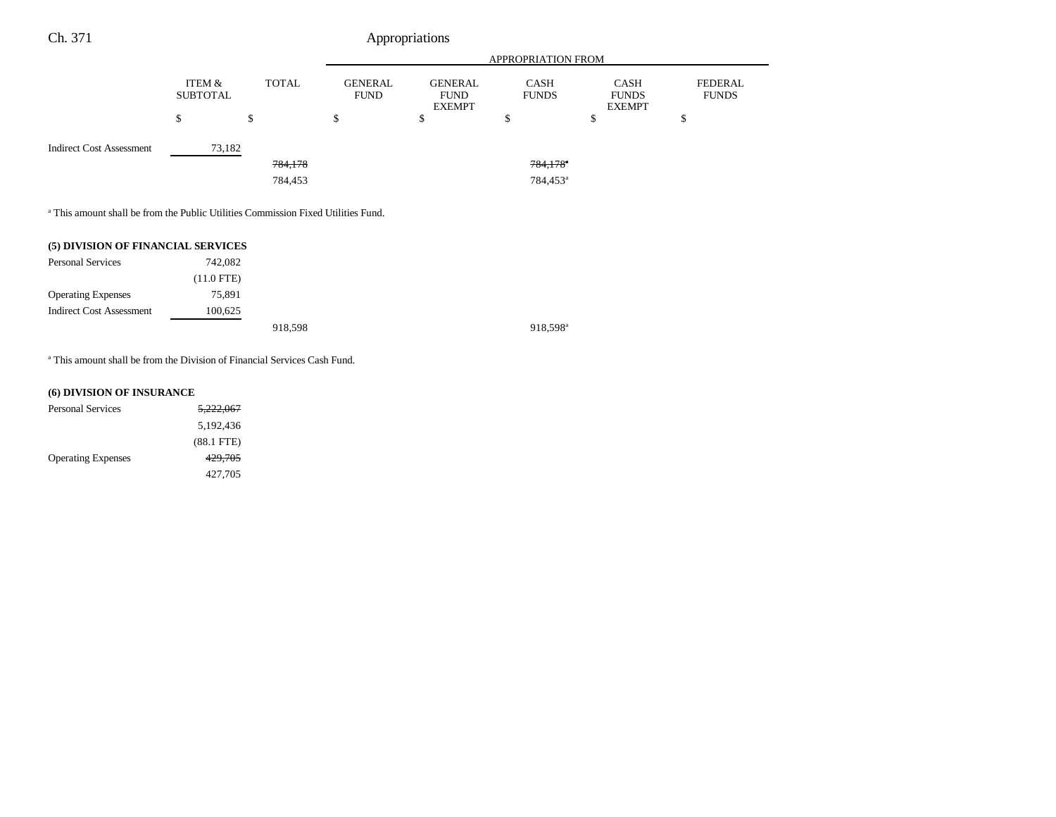|                           |                    | APPROPRIATION FROM            |                                                |                             |                                              |                                |
|---------------------------|--------------------|-------------------------------|------------------------------------------------|-----------------------------|----------------------------------------------|--------------------------------|
| ITEM &<br><b>SUBTOTAL</b> | <b>TOTAL</b>       | <b>GENERAL</b><br><b>FUND</b> | <b>GENERAL</b><br><b>FUND</b><br><b>EXEMPT</b> | <b>CASH</b><br><b>FUNDS</b> | <b>CASH</b><br><b>FUNDS</b><br><b>EXEMPT</b> | <b>FEDERAL</b><br><b>FUNDS</b> |
| ¢<br>D                    | \$                 | \$                            | \$                                             | \$                          | \$                                           | œ<br>э                         |
|                           |                    |                               |                                                |                             |                                              |                                |
|                           | <del>784,178</del> |                               |                                                | $784,178$ <sup>a</sup>      |                                              |                                |
|                           | 784,453            |                               |                                                | 784,453 <sup>a</sup>        |                                              |                                |
|                           |                    | 73,182                        |                                                | Appropriations              |                                              |                                |

a This amount shall be from the Public Utilities Commission Fixed Utilities Fund.

| (5) DIVISION OF FINANCIAL SERVICES |            |         |                      |
|------------------------------------|------------|---------|----------------------|
| <b>Personal Services</b>           | 742,082    |         |                      |
|                                    | (11.0 FTE) |         |                      |
| <b>Operating Expenses</b>          | 75,891     |         |                      |
| <b>Indirect Cost Assessment</b>    | 100,625    |         |                      |
|                                    |            | 918.598 | 918.598 <sup>a</sup> |

a This amount shall be from the Division of Financial Services Cash Fund.

### **(6) DIVISION OF INSURANCE**

| <b>Personal Services</b>  | <del>5.222.067</del> |
|---------------------------|----------------------|
|                           | 5,192,436            |
|                           | $(88.1$ FTE $)$      |
| <b>Operating Expenses</b> | 429.705              |
|                           | 427.705              |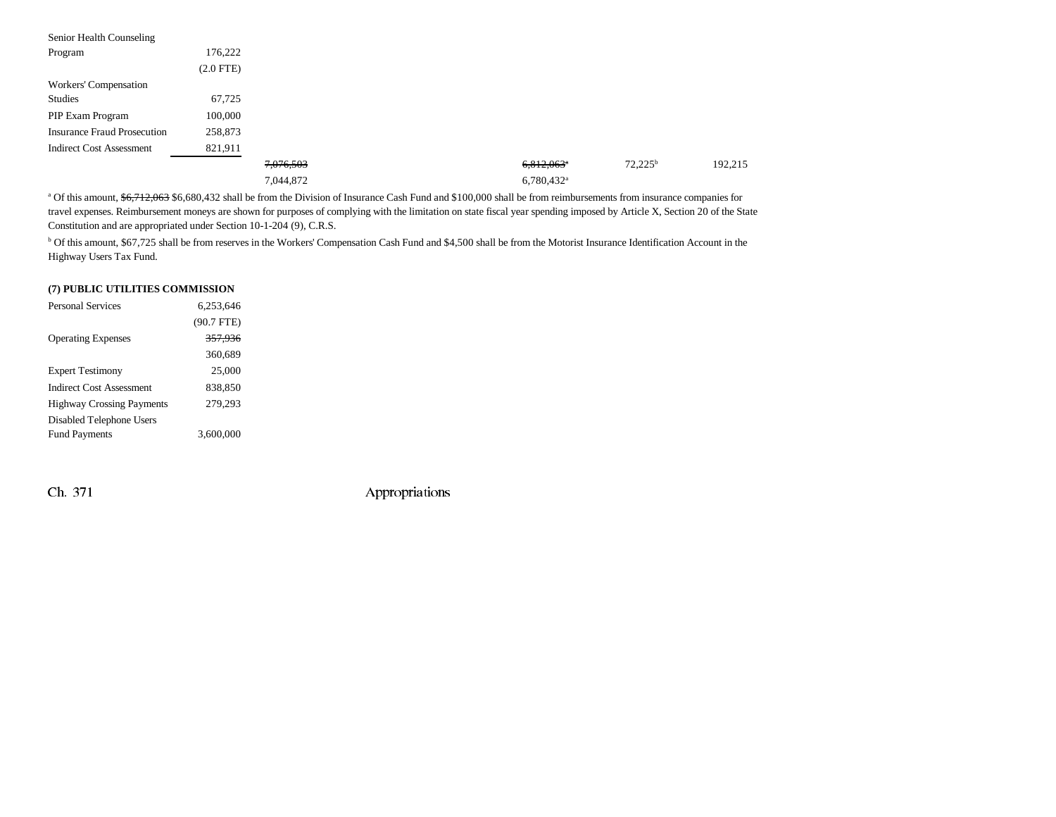| Senior Health Counseling           |                |           |                          |                  |         |
|------------------------------------|----------------|-----------|--------------------------|------------------|---------|
| Program                            | 176,222        |           |                          |                  |         |
|                                    | $(2.0$ FTE $)$ |           |                          |                  |         |
| Workers' Compensation              |                |           |                          |                  |         |
| Studies                            | 67,725         |           |                          |                  |         |
| PIP Exam Program                   | 100,000        |           |                          |                  |         |
| <b>Insurance Fraud Prosecution</b> | 258,873        |           |                          |                  |         |
| <b>Indirect Cost Assessment</b>    | 821,911        |           |                          |                  |         |
|                                    |                | 7,076,503 | $6,812,063$ <sup>a</sup> | $72,225^{\rm b}$ | 192,215 |
|                                    |                | 7,044,872 | $6,780,432$ <sup>a</sup> |                  |         |

a Of this amount, \$6,712,063 \$6,680,432 shall be from the Division of Insurance Cash Fund and \$100,000 shall be from reimbursements from insurance companies for travel expenses. Reimbursement moneys are shown for purposes of complying with the limitation on state fiscal year spending imposed by Article X, Section 20 of the State Constitution and are appropriated under Section 10-1-204 (9), C.R.S.

<sup>b</sup> Of this amount, \$67,725 shall be from reserves in the Workers' Compensation Cash Fund and \$4,500 shall be from the Motorist Insurance Identification Account in the Highway Users Tax Fund.

#### **(7) PUBLIC UTILITIES COMMISSION**

| <b>Personal Services</b>         | 6.253.646    |
|----------------------------------|--------------|
|                                  | $(90.7$ FTE) |
| <b>Operating Expenses</b>        | 357,936      |
|                                  | 360,689      |
| <b>Expert Testimony</b>          | 25,000       |
| <b>Indirect Cost Assessment</b>  | 838.850      |
| <b>Highway Crossing Payments</b> | 279,293      |
| Disabled Telephone Users         |              |
| <b>Fund Payments</b>             | 3,600,000    |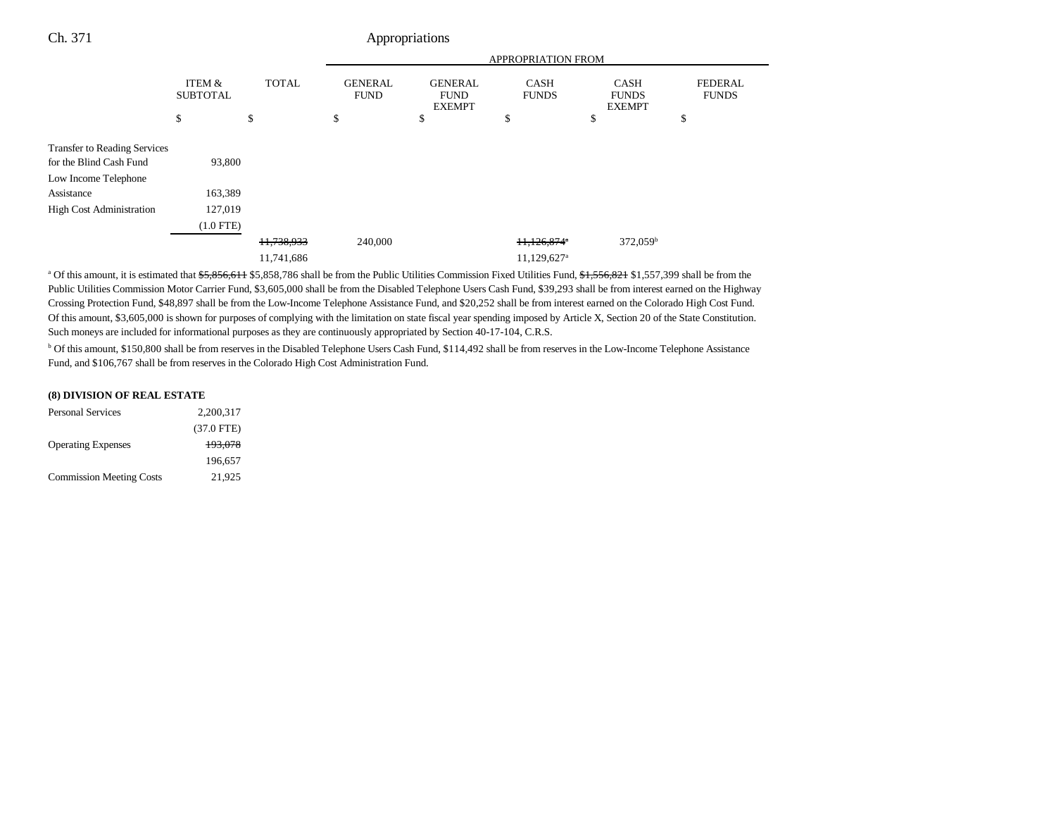|                                                                                                                                         |                              |                          |                               | <b>APPROPRIATION FROM</b>                      |                                                      |                                              |                                |  |
|-----------------------------------------------------------------------------------------------------------------------------------------|------------------------------|--------------------------|-------------------------------|------------------------------------------------|------------------------------------------------------|----------------------------------------------|--------------------------------|--|
|                                                                                                                                         | ITEM &<br><b>SUBTOTAL</b>    | <b>TOTAL</b>             | <b>GENERAL</b><br><b>FUND</b> | <b>GENERAL</b><br><b>FUND</b><br><b>EXEMPT</b> | <b>CASH</b><br><b>FUNDS</b>                          | <b>CASH</b><br><b>FUNDS</b><br><b>EXEMPT</b> | <b>FEDERAL</b><br><b>FUNDS</b> |  |
|                                                                                                                                         | \$                           | \$                       | \$                            | \$                                             | \$                                                   | \$                                           | \$                             |  |
| <b>Transfer to Reading Services</b><br>for the Blind Cash Fund<br>Low Income Telephone<br>Assistance<br><b>High Cost Administration</b> | 93,800<br>163,389<br>127,019 |                          |                               |                                                |                                                      |                                              |                                |  |
|                                                                                                                                         | $(1.0$ FTE)                  |                          |                               |                                                |                                                      |                                              |                                |  |
|                                                                                                                                         |                              | 11,738,933<br>11,741,686 | 240,000                       |                                                | $11,126,874$ <sup>*</sup><br>11,129,627 <sup>a</sup> | $372,059^{\rm b}$                            |                                |  |
|                                                                                                                                         |                              |                          |                               |                                                |                                                      |                                              |                                |  |

<sup>a</sup> Of this amount, it is estimated that \$5,856,611 \$5,858,786 shall be from the Public Utilities Commission Fixed Utilities Fund, \$1,556,821 \$1,557,399 shall be from the Public Utilities Commission Motor Carrier Fund, \$3,605,000 shall be from the Disabled Telephone Users Cash Fund, \$39,293 shall be from interest earned on the Highway Crossing Protection Fund, \$48,897 shall be from the Low-Income Telephone Assistance Fund, and \$20,252 shall be from interest earned on the Colorado High Cost Fund. Of this amount, \$3,605,000 is shown for purposes of complying with the limitation on state fiscal year spending imposed by Article X, Section 20 of the State Constitution. Such moneys are included for informational purposes as they are continuously appropriated by Section 40-17-104, C.R.S.

b Of this amount, \$150,800 shall be from reserves in the Disabled Telephone Users Cash Fund, \$114,492 shall be from reserves in the Low-Income Telephone Assistance Fund, and \$106,767 shall be from reserves in the Colorado High Cost Administration Fund.

#### **(8) DIVISION OF REAL ESTATE** Personal Services 2,200,317

| 2.200.317    |
|--------------|
| $(37.0$ FTE) |
| 193,078      |
| 196.657      |
| 21.925       |
|              |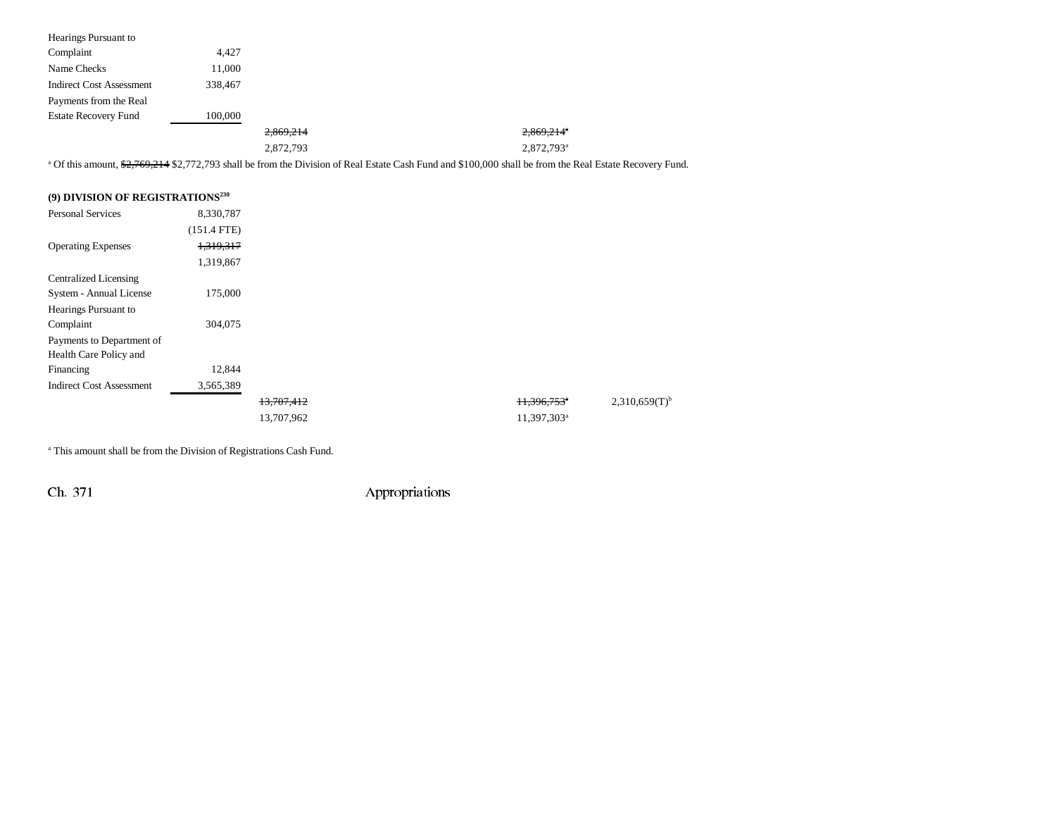| Hearings Pursuant to                         |               |            |                                                                                                                                                                     |                           |                             |
|----------------------------------------------|---------------|------------|---------------------------------------------------------------------------------------------------------------------------------------------------------------------|---------------------------|-----------------------------|
| Complaint                                    | 4,427         |            |                                                                                                                                                                     |                           |                             |
| Name Checks                                  | 11,000        |            |                                                                                                                                                                     |                           |                             |
| <b>Indirect Cost Assessment</b>              | 338,467       |            |                                                                                                                                                                     |                           |                             |
| Payments from the Real                       |               |            |                                                                                                                                                                     |                           |                             |
| <b>Estate Recovery Fund</b>                  | 100,000       |            |                                                                                                                                                                     |                           |                             |
|                                              |               | 2.869.214  |                                                                                                                                                                     | 2.869.214 <sup>°</sup>    |                             |
|                                              |               | 2,872,793  |                                                                                                                                                                     | 2,872,793 <sup>a</sup>    |                             |
|                                              |               |            | <sup>a</sup> Of this amount, \$2,769,214 \$2,772,793 shall be from the Division of Real Estate Cash Fund and \$100,000 shall be from the Real Estate Recovery Fund. |                           |                             |
|                                              |               |            |                                                                                                                                                                     |                           |                             |
| (9) DIVISION OF REGISTRATIONS <sup>230</sup> |               |            |                                                                                                                                                                     |                           |                             |
| <b>Personal Services</b>                     | 8,330,787     |            |                                                                                                                                                                     |                           |                             |
|                                              | $(151.4$ FTE) |            |                                                                                                                                                                     |                           |                             |
| <b>Operating Expenses</b>                    | 1,319,317     |            |                                                                                                                                                                     |                           |                             |
|                                              | 1,319,867     |            |                                                                                                                                                                     |                           |                             |
| <b>Centralized Licensing</b>                 |               |            |                                                                                                                                                                     |                           |                             |
| System - Annual License                      | 175,000       |            |                                                                                                                                                                     |                           |                             |
| Hearings Pursuant to                         |               |            |                                                                                                                                                                     |                           |                             |
| Complaint                                    | 304,075       |            |                                                                                                                                                                     |                           |                             |
| Payments to Department of                    |               |            |                                                                                                                                                                     |                           |                             |
| Health Care Policy and                       |               |            |                                                                                                                                                                     |                           |                             |
| Financing                                    | 12,844        |            |                                                                                                                                                                     |                           |                             |
| <b>Indirect Cost Assessment</b>              | 3,565,389     |            |                                                                                                                                                                     |                           |                             |
|                                              |               | 13,707,412 |                                                                                                                                                                     | $+1,396,753$ <sup>*</sup> | $2,310,659(T)$ <sup>b</sup> |
|                                              |               | 13,707,962 |                                                                                                                                                                     | 11,397,303 <sup>a</sup>   |                             |

a This amount shall be from the Division of Registrations Cash Fund.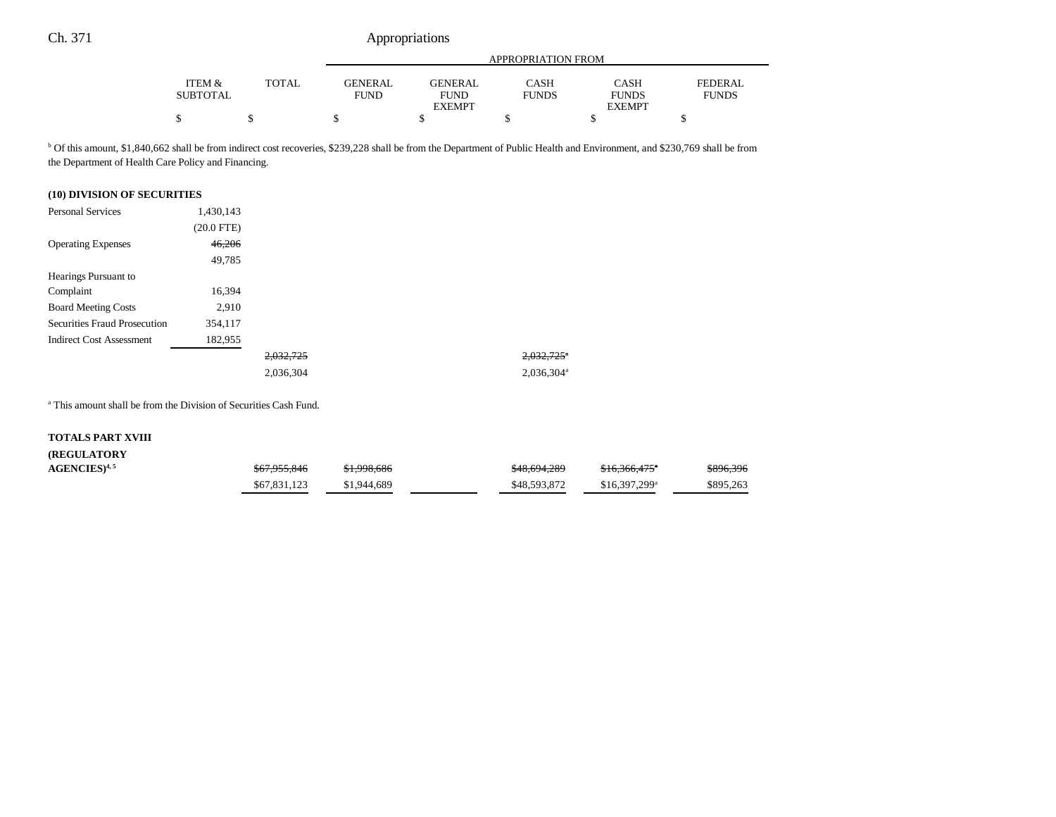|                 |              | APPROPRIATION FROM |                |              |               |              |
|-----------------|--------------|--------------------|----------------|--------------|---------------|--------------|
| ITEM &          | <b>TOTAL</b> | <b>GENERAL</b>     | <b>GENERAL</b> | <b>CASH</b>  | CASH          | FEDERAL      |
| <b>SUBTOTAL</b> |              | FUND               | <b>FUND</b>    | <b>FUNDS</b> | <b>FUNDS</b>  | <b>FUNDS</b> |
|                 |              |                    | <b>EXEMPT</b>  |              | <b>EXEMPT</b> |              |
| D               |              |                    |                |              |               |              |

b Of this amount, \$1,840,662 shall be from indirect cost recoveries, \$239,228 shall be from the Department of Public Health and Environment, and \$230,769 shall be from the Department of Health Care Policy and Financing.

### **(10) DIVISION OF SECURITIES**

| <b>Personal Services</b>        | 1,430,143    |           |                          |
|---------------------------------|--------------|-----------|--------------------------|
|                                 | $(20.0$ FTE) |           |                          |
| <b>Operating Expenses</b>       | 46,206       |           |                          |
|                                 | 49,785       |           |                          |
| Hearings Pursuant to            |              |           |                          |
| Complaint                       | 16,394       |           |                          |
| <b>Board Meeting Costs</b>      | 2,910        |           |                          |
| Securities Fraud Prosecution    | 354,117      |           |                          |
| <b>Indirect Cost Assessment</b> | 182,955      |           |                          |
|                                 |              | 2,032,725 | $2,032,725$ <sup>*</sup> |
|                                 |              | 2,036,304 | $2,036,304$ <sup>a</sup> |

a This amount shall be from the Division of Securities Cash Fund.

#### **TOTALS PART XVIII**

### **(REGULATORY**  $AGENCES)^{4,5}$

| $Q$ $Z$ $Q$ $Q$ $Q$ $Q$ $Q$ $Q$<br>507.733.040 | 010000<br>31.770.000 | \$48,694,289 | $016.766$ $1755$<br>310.300.475 | \$896,396 |
|------------------------------------------------|----------------------|--------------|---------------------------------|-----------|
| \$67,831,123                                   | \$1,944,689          | \$48,593,872 | $$16.397.299$ <sup>a</sup>      | \$895,263 |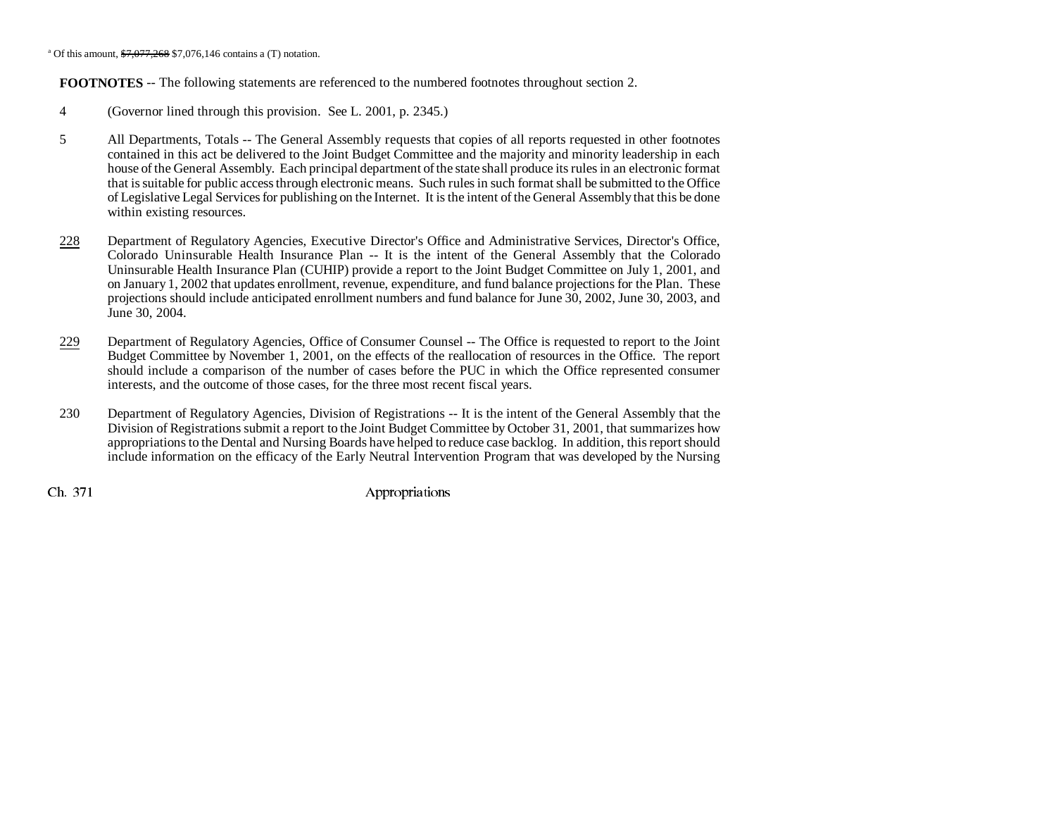<sup>a</sup> Of this amount,  $$7.077.268$  \$7,076,146 contains a (T) notation.

**FOOTNOTES** -- The following statements are referenced to the numbered footnotes throughout section 2.

- 4 (Governor lined through this provision. See L. 2001, p. 2345.)
- 5 All Departments, Totals -- The General Assembly requests that copies of all reports requested in other footnotes contained in this act be delivered to the Joint Budget Committee and the majority and minority leadership in each house of the General Assembly. Each principal department of the state shall produce its rules in an electronic format that is suitable for public access through electronic means. Such rules in such format shall be submitted to the Office of Legislative Legal Services for publishing on the Internet. It is the intent of the General Assembly that this be done within existing resources.
- 228 Department of Regulatory Agencies, Executive Director's Office and Administrative Services, Director's Office, Colorado Uninsurable Health Insurance Plan -- It is the intent of the General Assembly that the Colorado Uninsurable Health Insurance Plan (CUHIP) provide a report to the Joint Budget Committee on July 1, 2001, and on January 1, 2002 that updates enrollment, revenue, expenditure, and fund balance projections for the Plan. These projections should include anticipated enrollment numbers and fund balance for June 30, 2002, June 30, 2003, and June 30, 2004.
- 229 Department of Regulatory Agencies, Office of Consumer Counsel -- The Office is requested to report to the Joint Budget Committee by November 1, 2001, on the effects of the reallocation of resources in the Office. The report should include a comparison of the number of cases before the PUC in which the Office represented consumer interests, and the outcome of those cases, for the three most recent fiscal years.
- 230 Department of Regulatory Agencies, Division of Registrations -- It is the intent of the General Assembly that the Division of Registrations submit a report to the Joint Budget Committee by October 31, 2001, that summarizes how appropriations to the Dental and Nursing Boards have helped to reduce case backlog. In addition, this report should include information on the efficacy of the Early Neutral Intervention Program that was developed by the Nursing